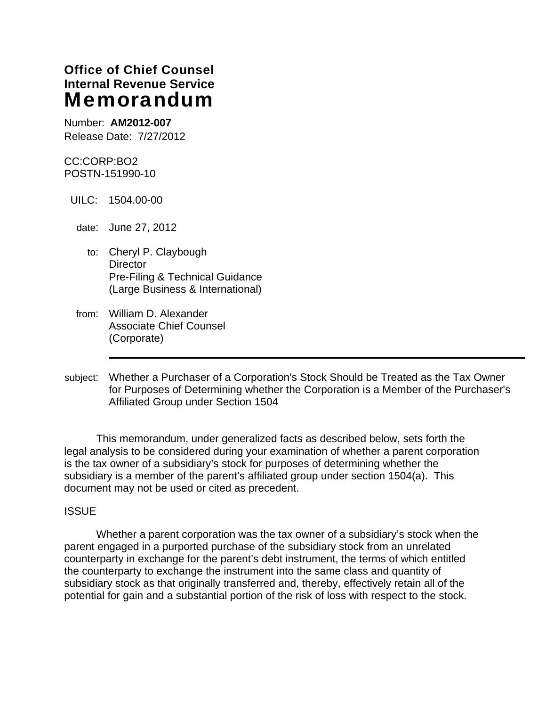# **Office of Chief Counsel Internal Revenue Service**  Memorandum

Number: **AM2012-007**  Release Date: 7/27/2012

CC:CORP:BO2 POSTN-151990-10

UILC: 1504.00-00

date: June 27, 2012

- to: Cheryl P. Claybough **Director** Pre-Filing & Technical Guidance (Large Business & International)
- from: William D. Alexander Associate Chief Counsel (Corporate)
- subject: Whether a Purchaser of a Corporation's Stock Should be Treated as the Tax Owner for Purposes of Determining whether the Corporation is a Member of the Purchaser's Affiliated Group under Section 1504

 This memorandum, under generalized facts as described below, sets forth the legal analysis to be considered during your examination of whether a parent corporation is the tax owner of a subsidiary's stock for purposes of determining whether the subsidiary is a member of the parent's affiliated group under section 1504(a). This document may not be used or cited as precedent.

### **ISSUE**

 Whether a parent corporation was the tax owner of a subsidiary's stock when the parent engaged in a purported purchase of the subsidiary stock from an unrelated counterparty in exchange for the parent's debt instrument, the terms of which entitled the counterparty to exchange the instrument into the same class and quantity of subsidiary stock as that originally transferred and, thereby, effectively retain all of the potential for gain and a substantial portion of the risk of loss with respect to the stock.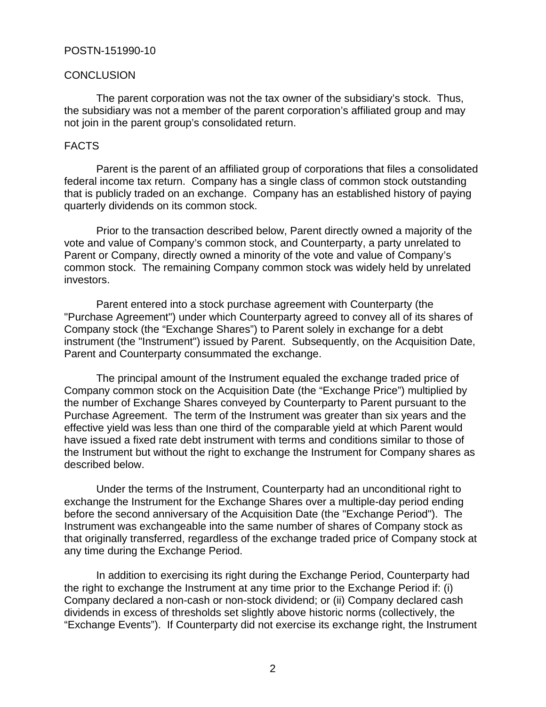#### **CONCLUSION**

 The parent corporation was not the tax owner of the subsidiary's stock. Thus, the subsidiary was not a member of the parent corporation's affiliated group and may not join in the parent group's consolidated return.

#### FACTS

 Parent is the parent of an affiliated group of corporations that files a consolidated federal income tax return. Company has a single class of common stock outstanding that is publicly traded on an exchange. Company has an established history of paying quarterly dividends on its common stock.

 Prior to the transaction described below, Parent directly owned a majority of the vote and value of Company's common stock, and Counterparty, a party unrelated to Parent or Company, directly owned a minority of the vote and value of Company's common stock. The remaining Company common stock was widely held by unrelated investors.

 Parent entered into a stock purchase agreement with Counterparty (the "Purchase Agreement") under which Counterparty agreed to convey all of its shares of Company stock (the "Exchange Shares") to Parent solely in exchange for a debt instrument (the "Instrument") issued by Parent. Subsequently, on the Acquisition Date, Parent and Counterparty consummated the exchange.

The principal amount of the Instrument equaled the exchange traded price of Company common stock on the Acquisition Date (the "Exchange Price") multiplied by the number of Exchange Shares conveyed by Counterparty to Parent pursuant to the Purchase Agreement. The term of the Instrument was greater than six years and the effective yield was less than one third of the comparable yield at which Parent would have issued a fixed rate debt instrument with terms and conditions similar to those of the Instrument but without the right to exchange the Instrument for Company shares as described below.

 Under the terms of the Instrument, Counterparty had an unconditional right to exchange the Instrument for the Exchange Shares over a multiple-day period ending before the second anniversary of the Acquisition Date (the "Exchange Period"). The Instrument was exchangeable into the same number of shares of Company stock as that originally transferred, regardless of the exchange traded price of Company stock at any time during the Exchange Period.

 In addition to exercising its right during the Exchange Period, Counterparty had the right to exchange the Instrument at any time prior to the Exchange Period if: (i) Company declared a non-cash or non-stock dividend; or (ii) Company declared cash dividends in excess of thresholds set slightly above historic norms (collectively, the "Exchange Events"). If Counterparty did not exercise its exchange right, the Instrument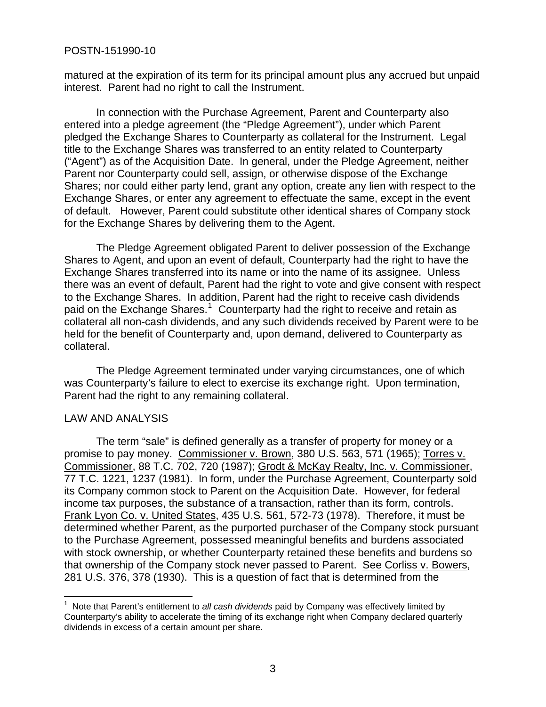matured at the expiration of its term for its principal amount plus any accrued but unpaid interest. Parent had no right to call the Instrument.

 In connection with the Purchase Agreement, Parent and Counterparty also entered into a pledge agreement (the "Pledge Agreement"), under which Parent pledged the Exchange Shares to Counterparty as collateral for the Instrument. Legal title to the Exchange Shares was transferred to an entity related to Counterparty ("Agent") as of the Acquisition Date. In general, under the Pledge Agreement, neither Parent nor Counterparty could sell, assign, or otherwise dispose of the Exchange Shares; nor could either party lend, grant any option, create any lien with respect to the Exchange Shares, or enter any agreement to effectuate the same, except in the event of default. However, Parent could substitute other identical shares of Company stock for the Exchange Shares by delivering them to the Agent.

 The Pledge Agreement obligated Parent to deliver possession of the Exchange Shares to Agent, and upon an event of default, Counterparty had the right to have the Exchange Shares transferred into its name or into the name of its assignee. Unless there was an event of default, Parent had the right to vote and give consent with respect to the Exchange Shares. In addition, Parent had the right to receive cash dividends paid on the Exchange Shares.<sup>[1](#page-2-0)</sup> Counterparty had the right to receive and retain as collateral all non-cash dividends, and any such dividends received by Parent were to be held for the benefit of Counterparty and, upon demand, delivered to Counterparty as collateral.

The Pledge Agreement terminated under varying circumstances, one of which was Counterparty's failure to elect to exercise its exchange right. Upon termination, Parent had the right to any remaining collateral.

### LAW AND ANALYSIS

 The term "sale" is defined generally as a transfer of property for money or a promise to pay money. Commissioner v. Brown, 380 U.S. 563, 571 (1965); Torres v. Commissioner, 88 T.C. 702, 720 (1987); Grodt & McKay Realty, Inc. v. Commissioner, 77 T.C. 1221, 1237 (1981). In form, under the Purchase Agreement, Counterparty sold its Company common stock to Parent on the Acquisition Date. However, for federal income tax purposes, the substance of a transaction, rather than its form, controls. Frank Lyon Co. v. United States, 435 U.S. 561, 572-73 (1978). Therefore, it must be determined whether Parent, as the purported purchaser of the Company stock pursuant to the Purchase Agreement, possessed meaningful benefits and burdens associated with stock ownership, or whether Counterparty retained these benefits and burdens so that ownership of the Company stock never passed to Parent. See Corliss v. Bowers, 281 U.S. 376, 378 (1930). This is a question of fact that is determined from the

<span id="page-2-0"></span> 1 Note that Parent's entitlement to *all cash dividends* paid by Company was effectively limited by Counterparty's ability to accelerate the timing of its exchange right when Company declared quarterly dividends in excess of a certain amount per share.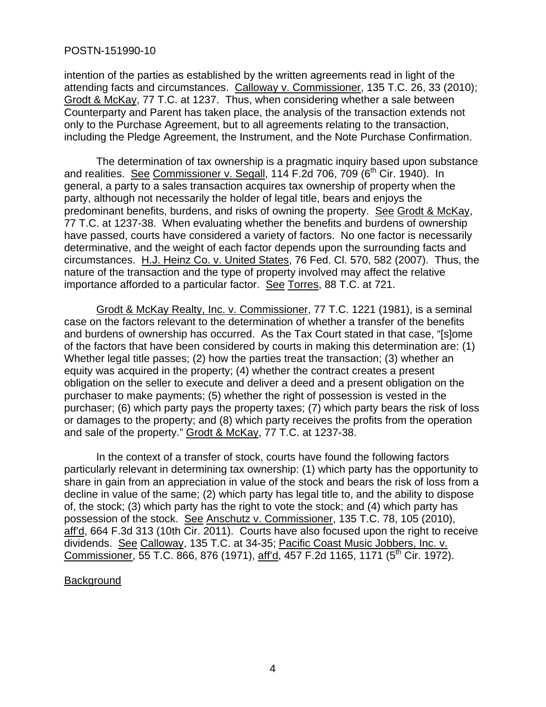intention of the parties as established by the written agreements read in light of the attending facts and circumstances. Calloway v. Commissioner, 135 T.C. 26, 33 (2010); Grodt & McKay, 77 T.C. at 1237. Thus, when considering whether a sale between Counterparty and Parent has taken place, the analysis of the transaction extends not only to the Purchase Agreement, but to all agreements relating to the transaction, including the Pledge Agreement, the Instrument, and the Note Purchase Confirmation.

 The determination of tax ownership is a pragmatic inquiry based upon substance and realities. See Commissioner v. Segall,  $114$  F.2d 706, 709 ( $6<sup>th</sup>$  Cir. 1940). In general, a party to a sales transaction acquires tax ownership of property when the party, although not necessarily the holder of legal title, bears and enjoys the predominant benefits, burdens, and risks of owning the property. See Grodt & McKay, 77 T.C. at 1237-38. When evaluating whether the benefits and burdens of ownership have passed, courts have considered a variety of factors. No one factor is necessarily determinative, and the weight of each factor depends upon the surrounding facts and circumstances. H.J. Heinz Co. v. United States, 76 Fed. Cl. 570, 582 (2007). Thus, the nature of the transaction and the type of property involved may affect the relative importance afforded to a particular factor. See Torres, 88 T.C. at 721.

Grodt & McKay Realty, Inc. v. Commissioner, 77 T.C. 1221 (1981), is a seminal case on the factors relevant to the determination of whether a transfer of the benefits and burdens of ownership has occurred. As the Tax Court stated in that case, "[s]ome of the factors that have been considered by courts in making this determination are: (1) Whether legal title passes; (2) how the parties treat the transaction; (3) whether an equity was acquired in the property; (4) whether the contract creates a present obligation on the seller to execute and deliver a deed and a present obligation on the purchaser to make payments; (5) whether the right of possession is vested in the purchaser; (6) which party pays the property taxes; (7) which party bears the risk of loss or damages to the property; and (8) which party receives the profits from the operation and sale of the property." Grodt & McKay, 77 T.C. at 1237-38.

 In the context of a transfer of stock, courts have found the following factors particularly relevant in determining tax ownership: (1) which party has the opportunity to share in gain from an appreciation in value of the stock and bears the risk of loss from a decline in value of the same; (2) which party has legal title to, and the ability to dispose of, the stock; (3) which party has the right to vote the stock; and (4) which party has possession of the stock. See Anschutz v. Commissioner, 135 T.C. 78, 105 (2010), aff'd, 664 F.3d 313 (10th Cir. 2011). Courts have also focused upon the right to receive dividends. See Calloway, 135 T.C. at 34-35; Pacific Coast Music Jobbers, Inc. v. Commissioner, 55 T.C. 866, 876 (1971), aff'd, 457 F.2d 1165, 1171 (5<sup>th</sup> Cir. 1972).

### **Background**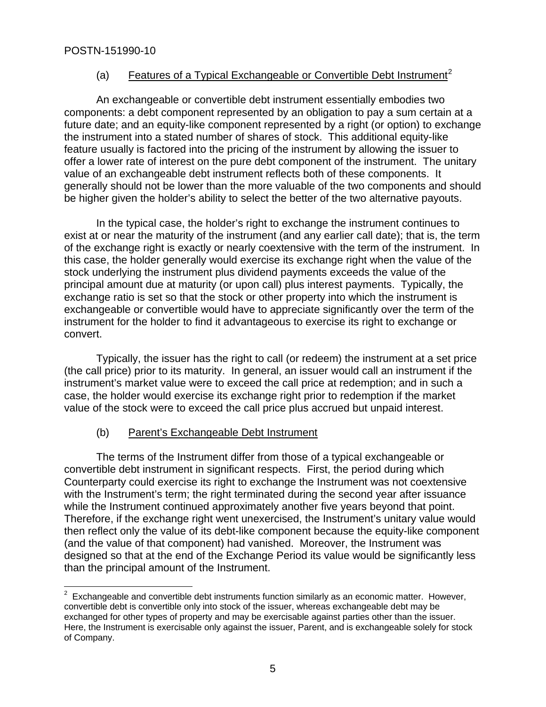# (a) Features of a Typical Exchangeable or Convertible Debt Instrument<sup>[2](#page-4-0)</sup>

 An exchangeable or convertible debt instrument essentially embodies two components: a debt component represented by an obligation to pay a sum certain at a future date; and an equity-like component represented by a right (or option) to exchange the instrument into a stated number of shares of stock. This additional equity-like feature usually is factored into the pricing of the instrument by allowing the issuer to offer a lower rate of interest on the pure debt component of the instrument. The unitary value of an exchangeable debt instrument reflects both of these components. It generally should not be lower than the more valuable of the two components and should be higher given the holder's ability to select the better of the two alternative payouts.

In the typical case, the holder's right to exchange the instrument continues to exist at or near the maturity of the instrument (and any earlier call date); that is, the term of the exchange right is exactly or nearly coextensive with the term of the instrument. In this case, the holder generally would exercise its exchange right when the value of the stock underlying the instrument plus dividend payments exceeds the value of the principal amount due at maturity (or upon call) plus interest payments. Typically, the exchange ratio is set so that the stock or other property into which the instrument is exchangeable or convertible would have to appreciate significantly over the term of the instrument for the holder to find it advantageous to exercise its right to exchange or convert.

 Typically, the issuer has the right to call (or redeem) the instrument at a set price (the call price) prior to its maturity. In general, an issuer would call an instrument if the instrument's market value were to exceed the call price at redemption; and in such a case, the holder would exercise its exchange right prior to redemption if the market value of the stock were to exceed the call price plus accrued but unpaid interest.

# (b) Parent's Exchangeable Debt Instrument

 The terms of the Instrument differ from those of a typical exchangeable or convertible debt instrument in significant respects. First, the period during which Counterparty could exercise its right to exchange the Instrument was not coextensive with the Instrument's term; the right terminated during the second year after issuance while the Instrument continued approximately another five years beyond that point. Therefore, if the exchange right went unexercised, the Instrument's unitary value would then reflect only the value of its debt-like component because the equity-like component (and the value of that component) had vanished. Moreover, the Instrument was designed so that at the end of the Exchange Period its value would be significantly less than the principal amount of the Instrument.

<span id="page-4-0"></span> 2 Exchangeable and convertible debt instruments function similarly as an economic matter. However, convertible debt is convertible only into stock of the issuer, whereas exchangeable debt may be exchanged for other types of property and may be exercisable against parties other than the issuer. Here, the Instrument is exercisable only against the issuer, Parent, and is exchangeable solely for stock of Company.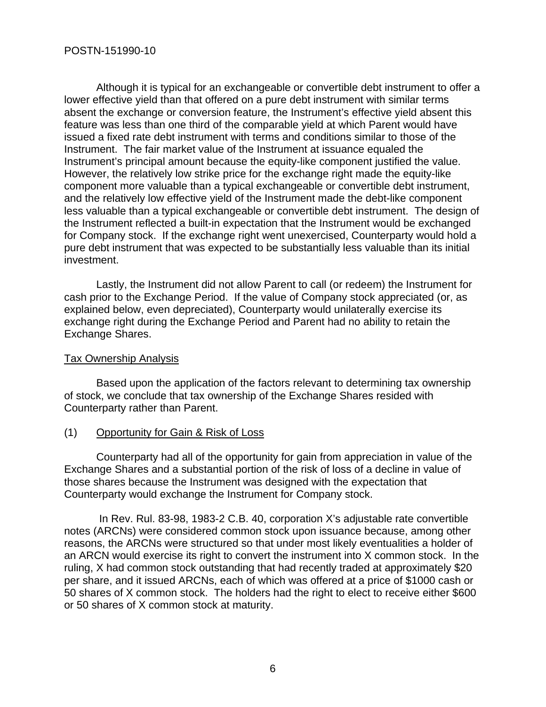Although it is typical for an exchangeable or convertible debt instrument to offer a lower effective yield than that offered on a pure debt instrument with similar terms absent the exchange or conversion feature, the Instrument's effective yield absent this feature was less than one third of the comparable yield at which Parent would have issued a fixed rate debt instrument with terms and conditions similar to those of the Instrument. The fair market value of the Instrument at issuance equaled the Instrument's principal amount because the equity-like component justified the value. However, the relatively low strike price for the exchange right made the equity-like component more valuable than a typical exchangeable or convertible debt instrument, and the relatively low effective yield of the Instrument made the debt-like component less valuable than a typical exchangeable or convertible debt instrument. The design of the Instrument reflected a built-in expectation that the Instrument would be exchanged for Company stock. If the exchange right went unexercised, Counterparty would hold a pure debt instrument that was expected to be substantially less valuable than its initial investment.

Lastly, the Instrument did not allow Parent to call (or redeem) the Instrument for cash prior to the Exchange Period. If the value of Company stock appreciated (or, as explained below, even depreciated), Counterparty would unilaterally exercise its exchange right during the Exchange Period and Parent had no ability to retain the Exchange Shares.

# Tax Ownership Analysis

 Based upon the application of the factors relevant to determining tax ownership of stock, we conclude that tax ownership of the Exchange Shares resided with Counterparty rather than Parent.

### (1) Opportunity for Gain & Risk of Loss

 Counterparty had all of the opportunity for gain from appreciation in value of the Exchange Shares and a substantial portion of the risk of loss of a decline in value of those shares because the Instrument was designed with the expectation that Counterparty would exchange the Instrument for Company stock.

 In Rev. Rul. 83-98, 1983-2 C.B. 40, corporation X's adjustable rate convertible notes (ARCNs) were considered common stock upon issuance because, among other reasons, the ARCNs were structured so that under most likely eventualities a holder of an ARCN would exercise its right to convert the instrument into X common stock. In the ruling, X had common stock outstanding that had recently traded at approximately \$20 per share, and it issued ARCNs, each of which was offered at a price of \$1000 cash or 50 shares of X common stock. The holders had the right to elect to receive either \$600 or 50 shares of X common stock at maturity.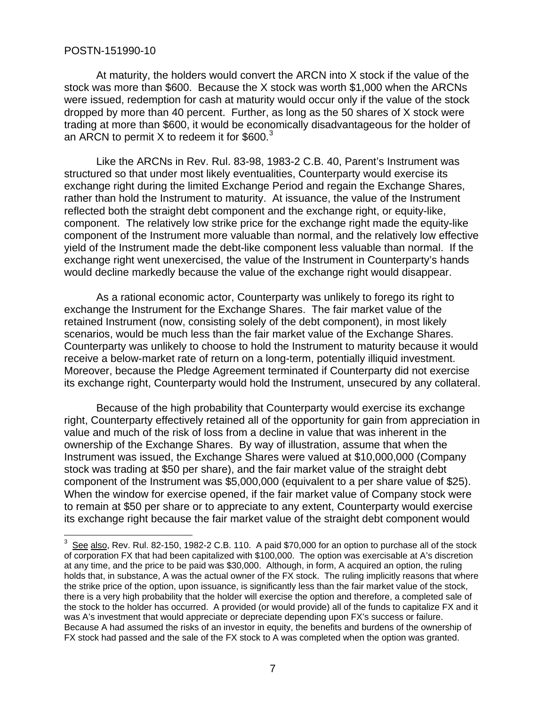$\overline{a}$ 

 At maturity, the holders would convert the ARCN into X stock if the value of the stock was more than \$600. Because the X stock was worth \$1,000 when the ARCNs were issued, redemption for cash at maturity would occur only if the value of the stock dropped by more than 40 percent. Further, as long as the 50 shares of X stock were trading at more than \$600, it would be economically disadvantageous for the holder of an ARCN to permit X to redeem it for \$600. $3$ 

 Like the ARCNs in Rev. Rul. 83-98, 1983-2 C.B. 40, Parent's Instrument was structured so that under most likely eventualities, Counterparty would exercise its exchange right during the limited Exchange Period and regain the Exchange Shares, rather than hold the Instrument to maturity. At issuance, the value of the Instrument reflected both the straight debt component and the exchange right, or equity-like, component. The relatively low strike price for the exchange right made the equity-like component of the Instrument more valuable than normal, and the relatively low effective yield of the Instrument made the debt-like component less valuable than normal. If the exchange right went unexercised, the value of the Instrument in Counterparty's hands would decline markedly because the value of the exchange right would disappear.

 As a rational economic actor, Counterparty was unlikely to forego its right to exchange the Instrument for the Exchange Shares. The fair market value of the retained Instrument (now, consisting solely of the debt component), in most likely scenarios, would be much less than the fair market value of the Exchange Shares. Counterparty was unlikely to choose to hold the Instrument to maturity because it would receive a below-market rate of return on a long-term, potentially illiquid investment. Moreover, because the Pledge Agreement terminated if Counterparty did not exercise its exchange right, Counterparty would hold the Instrument, unsecured by any collateral.

 Because of the high probability that Counterparty would exercise its exchange right, Counterparty effectively retained all of the opportunity for gain from appreciation in value and much of the risk of loss from a decline in value that was inherent in the ownership of the Exchange Shares. By way of illustration, assume that when the Instrument was issued, the Exchange Shares were valued at \$10,000,000 (Company stock was trading at \$50 per share), and the fair market value of the straight debt component of the Instrument was \$5,000,000 (equivalent to a per share value of \$25). When the window for exercise opened, if the fair market value of Company stock were to remain at \$50 per share or to appreciate to any extent, Counterparty would exercise its exchange right because the fair market value of the straight debt component would

<span id="page-6-0"></span> $3\,$  See also, Rev. Rul. 82-150, 1982-2 C.B. 110. A paid \$70,000 for an option to purchase all of the stock of corporation FX that had been capitalized with \$100,000. The option was exercisable at A's discretion at any time, and the price to be paid was \$30,000. Although, in form, A acquired an option, the ruling holds that, in substance, A was the actual owner of the FX stock. The ruling implicitly reasons that where the strike price of the option, upon issuance, is significantly less than the fair market value of the stock, there is a very high probability that the holder will exercise the option and therefore, a completed sale of the stock to the holder has occurred. A provided (or would provide) all of the funds to capitalize FX and it was A's investment that would appreciate or depreciate depending upon FX's success or failure. Because A had assumed the risks of an investor in equity, the benefits and burdens of the ownership of FX stock had passed and the sale of the FX stock to A was completed when the option was granted.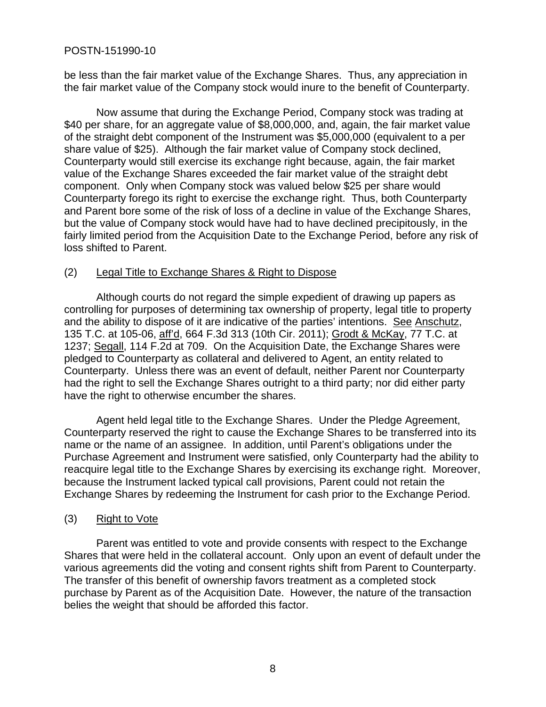be less than the fair market value of the Exchange Shares. Thus, any appreciation in the fair market value of the Company stock would inure to the benefit of Counterparty.

 Now assume that during the Exchange Period, Company stock was trading at \$40 per share, for an aggregate value of \$8,000,000, and, again, the fair market value of the straight debt component of the Instrument was \$5,000,000 (equivalent to a per share value of \$25). Although the fair market value of Company stock declined, Counterparty would still exercise its exchange right because, again, the fair market value of the Exchange Shares exceeded the fair market value of the straight debt component. Only when Company stock was valued below \$25 per share would Counterparty forego its right to exercise the exchange right. Thus, both Counterparty and Parent bore some of the risk of loss of a decline in value of the Exchange Shares, but the value of Company stock would have had to have declined precipitously, in the fairly limited period from the Acquisition Date to the Exchange Period, before any risk of loss shifted to Parent.

# (2) Legal Title to Exchange Shares & Right to Dispose

 Although courts do not regard the simple expedient of drawing up papers as controlling for purposes of determining tax ownership of property, legal title to property and the ability to dispose of it are indicative of the parties' intentions. See Anschutz, 135 T.C. at 105-06, aff'd, 664 F.3d 313 (10th Cir. 2011); Grodt & McKay, 77 T.C. at 1237; Segall, 114 F.2d at 709. On the Acquisition Date, the Exchange Shares were pledged to Counterparty as collateral and delivered to Agent, an entity related to Counterparty. Unless there was an event of default, neither Parent nor Counterparty had the right to sell the Exchange Shares outright to a third party; nor did either party have the right to otherwise encumber the shares.

 Agent held legal title to the Exchange Shares. Under the Pledge Agreement, Counterparty reserved the right to cause the Exchange Shares to be transferred into its name or the name of an assignee. In addition, until Parent's obligations under the Purchase Agreement and Instrument were satisfied, only Counterparty had the ability to reacquire legal title to the Exchange Shares by exercising its exchange right. Moreover, because the Instrument lacked typical call provisions, Parent could not retain the Exchange Shares by redeeming the Instrument for cash prior to the Exchange Period.

# (3) Right to Vote

 Parent was entitled to vote and provide consents with respect to the Exchange Shares that were held in the collateral account. Only upon an event of default under the various agreements did the voting and consent rights shift from Parent to Counterparty. The transfer of this benefit of ownership favors treatment as a completed stock purchase by Parent as of the Acquisition Date. However, the nature of the transaction belies the weight that should be afforded this factor.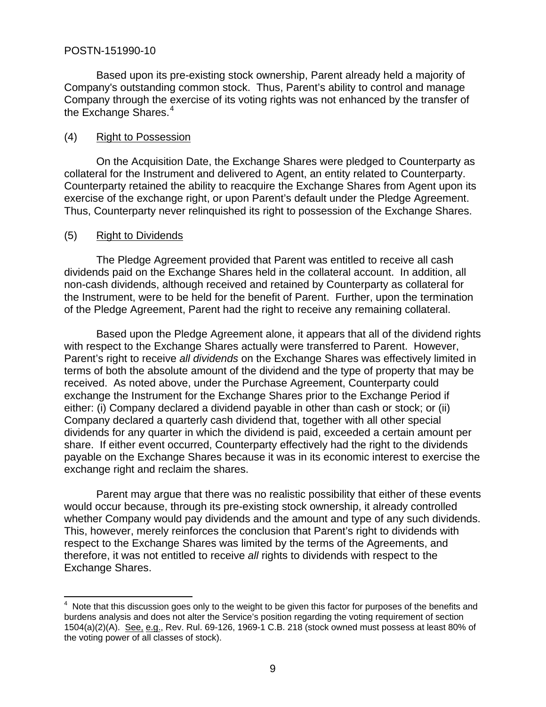Based upon its pre-existing stock ownership, Parent already held a majority of Company's outstanding common stock. Thus, Parent's ability to control and manage Company through the exercise of its voting rights was not enhanced by the transfer of the Exchange Shares.<sup>[4](#page-8-0)</sup>

# (4) Right to Possession

 On the Acquisition Date, the Exchange Shares were pledged to Counterparty as collateral for the Instrument and delivered to Agent, an entity related to Counterparty. Counterparty retained the ability to reacquire the Exchange Shares from Agent upon its exercise of the exchange right, or upon Parent's default under the Pledge Agreement. Thus, Counterparty never relinquished its right to possession of the Exchange Shares.

# (5) Right to Dividends

 The Pledge Agreement provided that Parent was entitled to receive all cash dividends paid on the Exchange Shares held in the collateral account. In addition, all non-cash dividends, although received and retained by Counterparty as collateral for the Instrument, were to be held for the benefit of Parent. Further, upon the termination of the Pledge Agreement, Parent had the right to receive any remaining collateral.

 Based upon the Pledge Agreement alone, it appears that all of the dividend rights with respect to the Exchange Shares actually were transferred to Parent. However, Parent's right to receive *all dividends* on the Exchange Shares was effectively limited in terms of both the absolute amount of the dividend and the type of property that may be received. As noted above, under the Purchase Agreement, Counterparty could exchange the Instrument for the Exchange Shares prior to the Exchange Period if either: (i) Company declared a dividend payable in other than cash or stock; or (ii) Company declared a quarterly cash dividend that, together with all other special dividends for any quarter in which the dividend is paid, exceeded a certain amount per share. If either event occurred, Counterparty effectively had the right to the dividends payable on the Exchange Shares because it was in its economic interest to exercise the exchange right and reclaim the shares.

 Parent may argue that there was no realistic possibility that either of these events would occur because, through its pre-existing stock ownership, it already controlled whether Company would pay dividends and the amount and type of any such dividends. This, however, merely reinforces the conclusion that Parent's right to dividends with respect to the Exchange Shares was limited by the terms of the Agreements, and therefore, it was not entitled to receive *all* rights to dividends with respect to the Exchange Shares.

<span id="page-8-0"></span>**EXECUTE:**<br>A Note that this discussion goes only to the weight to be given this factor for purposes of the benefits and burdens analysis and does not alter the Service's position regarding the voting requirement of section 1504(a)(2)(A). See, e.g., Rev. Rul. 69-126, 1969-1 C.B. 218 (stock owned must possess at least 80% of the voting power of all classes of stock).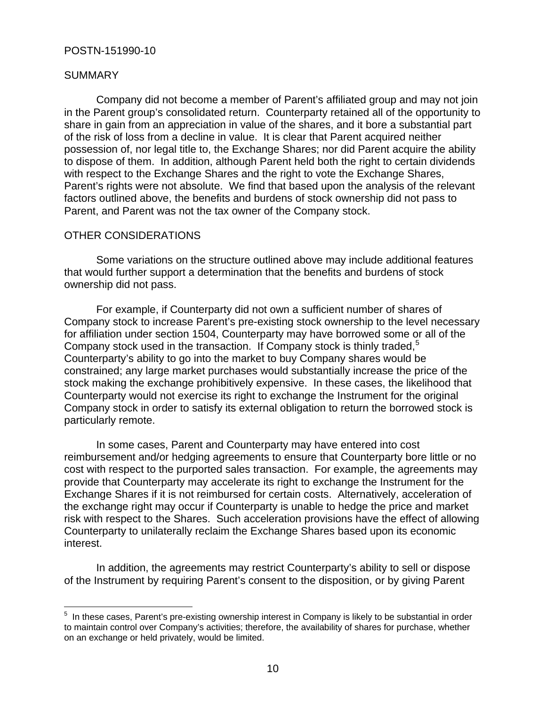# SUMMARY

 Company did not become a member of Parent's affiliated group and may not join in the Parent group's consolidated return. Counterparty retained all of the opportunity to share in gain from an appreciation in value of the shares, and it bore a substantial part of the risk of loss from a decline in value. It is clear that Parent acquired neither possession of, nor legal title to, the Exchange Shares; nor did Parent acquire the ability to dispose of them. In addition, although Parent held both the right to certain dividends with respect to the Exchange Shares and the right to vote the Exchange Shares, Parent's rights were not absolute. We find that based upon the analysis of the relevant factors outlined above, the benefits and burdens of stock ownership did not pass to Parent, and Parent was not the tax owner of the Company stock.

# OTHER CONSIDERATIONS

 Some variations on the structure outlined above may include additional features that would further support a determination that the benefits and burdens of stock ownership did not pass.

 For example, if Counterparty did not own a sufficient number of shares of Company stock to increase Parent's pre-existing stock ownership to the level necessary for affiliation under section 1504, Counterparty may have borrowed some or all of the Company stock used in the transaction. If Company stock is thinly traded,  $5$ Counterparty's ability to go into the market to buy Company shares would be constrained; any large market purchases would substantially increase the price of the stock making the exchange prohibitively expensive. In these cases, the likelihood that Counterparty would not exercise its right to exchange the Instrument for the original Company stock in order to satisfy its external obligation to return the borrowed stock is particularly remote.

 In some cases, Parent and Counterparty may have entered into cost reimbursement and/or hedging agreements to ensure that Counterparty bore little or no cost with respect to the purported sales transaction. For example, the agreements may provide that Counterparty may accelerate its right to exchange the Instrument for the Exchange Shares if it is not reimbursed for certain costs. Alternatively, acceleration of the exchange right may occur if Counterparty is unable to hedge the price and market risk with respect to the Shares. Such acceleration provisions have the effect of allowing Counterparty to unilaterally reclaim the Exchange Shares based upon its economic interest.

 In addition, the agreements may restrict Counterparty's ability to sell or dispose of the Instrument by requiring Parent's consent to the disposition, or by giving Parent

<span id="page-9-0"></span> $\overline{a}$ <sup>5</sup> In these cases, Parent's pre-existing ownership interest in Company is likely to be substantial in order to maintain control over Company's activities; therefore, the availability of shares for purchase, whether on an exchange or held privately, would be limited.